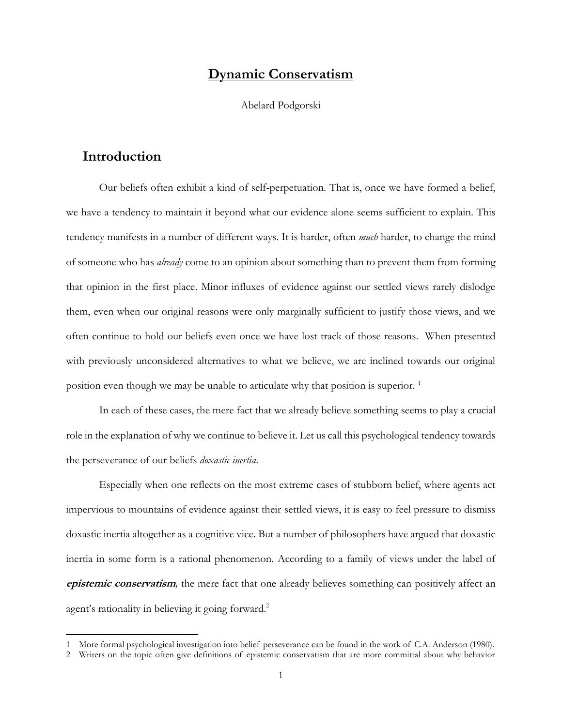# **Dynamic Conservatism**

Abelard Podgorski

### **Introduction**

 $\overline{\phantom{a}}$ 

Our beliefs often exhibit a kind of self-perpetuation. That is, once we have formed a belief, we have a tendency to maintain it beyond what our evidence alone seems sufficient to explain. This tendency manifests in a number of different ways. It is harder, often *much* harder, to change the mind of someone who has *already* come to an opinion about something than to prevent them from forming that opinion in the first place. Minor influxes of evidence against our settled views rarely dislodge them, even when our original reasons were only marginally sufficient to justify those views, and we often continue to hold our beliefs even once we have lost track of those reasons. When presented with previously unconsidered alternatives to what we believe, we are inclined towards our original position even though we may be unable to articulate why that position is superior. <sup>1</sup>

In each of these cases, the mere fact that we already believe something seems to play a crucial role in the explanation of why we continue to believe it. Let us call this psychological tendency towards the perseverance of our beliefs *doxastic inertia*.

Especially when one reflects on the most extreme cases of stubborn belief, where agents act impervious to mountains of evidence against their settled views, it is easy to feel pressure to dismiss doxastic inertia altogether as a cognitive vice. But a number of philosophers have argued that doxastic inertia in some form is a rational phenomenon. According to a family of views under the label of **epistemic conservatism***,* the mere fact that one already believes something can positively affect an agent's rationality in believing it going forward.<sup>2</sup>

<sup>1</sup> More formal psychological investigation into belief perseverance can be found in the work of C.A. Anderson (1980).

<sup>2</sup> Writers on the topic often give definitions of epistemic conservatism that are more committal about why behavior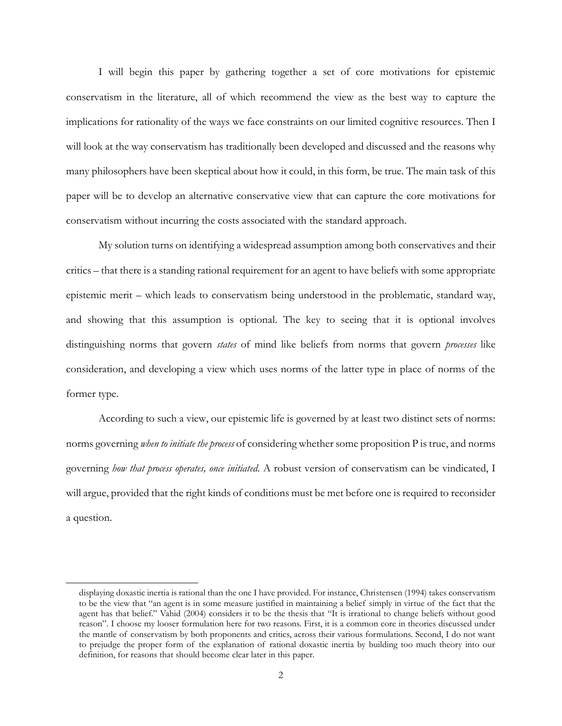I will begin this paper by gathering together a set of core motivations for epistemic conservatism in the literature, all of which recommend the view as the best way to capture the implications for rationality of the ways we face constraints on our limited cognitive resources. Then I will look at the way conservatism has traditionally been developed and discussed and the reasons why many philosophers have been skeptical about how it could, in this form, be true. The main task of this paper will be to develop an alternative conservative view that can capture the core motivations for conservatism without incurring the costs associated with the standard approach.

My solution turns on identifying a widespread assumption among both conservatives and their critics – that there is a standing rational requirement for an agent to have beliefs with some appropriate epistemic merit – which leads to conservatism being understood in the problematic, standard way, and showing that this assumption is optional. The key to seeing that it is optional involves distinguishing norms that govern *states* of mind like beliefs from norms that govern *processes* like consideration, and developing a view which uses norms of the latter type in place of norms of the former type.

According to such a view, our epistemic life is governed by at least two distinct sets of norms: norms governing *when to initiate the process* of considering whether some proposition P is true, and norms governing *how that process operates, once initiated*. A robust version of conservatism can be vindicated, I will argue, provided that the right kinds of conditions must be met before one is required to reconsider a question.

l

displaying doxastic inertia is rational than the one I have provided. For instance, Christensen (1994) takes conservatism to be the view that "an agent is in some measure justified in maintaining a belief simply in virtue of the fact that the agent has that belief." Vahid (2004) considers it to be the thesis that "It is irrational to change beliefs without good reason". I choose my looser formulation here for two reasons. First, it is a common core in theories discussed under the mantle of conservatism by both proponents and critics, across their various formulations. Second, I do not want to prejudge the proper form of the explanation of rational doxastic inertia by building too much theory into our definition, for reasons that should become clear later in this paper.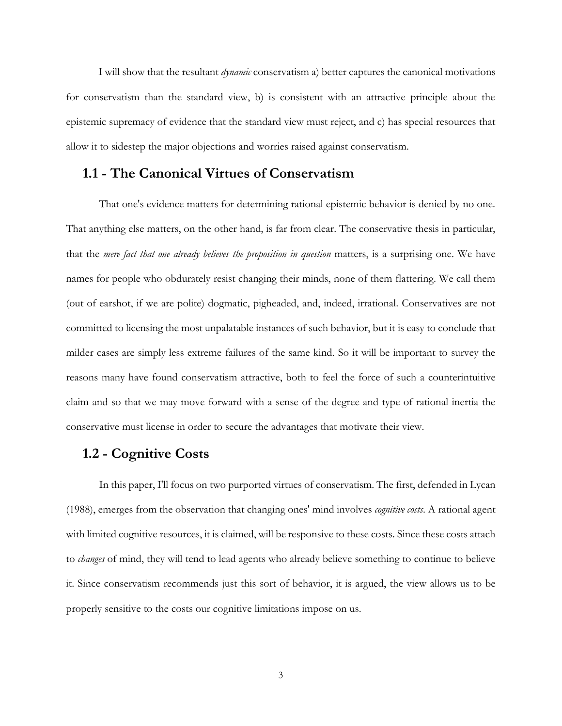I will show that the resultant *dynamic* conservatism a) better captures the canonical motivations for conservatism than the standard view, b) is consistent with an attractive principle about the epistemic supremacy of evidence that the standard view must reject, and c) has special resources that allow it to sidestep the major objections and worries raised against conservatism.

#### **1.1 - The Canonical Virtues of Conservatism**

That one's evidence matters for determining rational epistemic behavior is denied by no one. That anything else matters, on the other hand, is far from clear. The conservative thesis in particular, that the *mere fact that one already believes the proposition in question* matters, is a surprising one. We have names for people who obdurately resist changing their minds, none of them flattering. We call them (out of earshot, if we are polite) dogmatic, pigheaded, and, indeed, irrational. Conservatives are not committed to licensing the most unpalatable instances of such behavior, but it is easy to conclude that milder cases are simply less extreme failures of the same kind. So it will be important to survey the reasons many have found conservatism attractive, both to feel the force of such a counterintuitive claim and so that we may move forward with a sense of the degree and type of rational inertia the conservative must license in order to secure the advantages that motivate their view.

#### **1.2 - Cognitive Costs**

In this paper, I'll focus on two purported virtues of conservatism. The first, defended in Lycan (1988), emerges from the observation that changing ones' mind involves *cognitive costs*. A rational agent with limited cognitive resources, it is claimed, will be responsive to these costs. Since these costs attach to *changes* of mind, they will tend to lead agents who already believe something to continue to believe it. Since conservatism recommends just this sort of behavior, it is argued, the view allows us to be properly sensitive to the costs our cognitive limitations impose on us.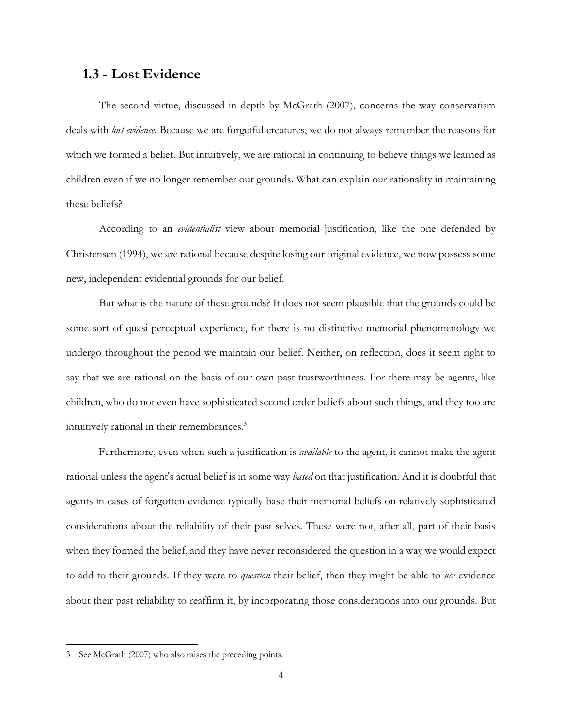# **1.3 - Lost Evidence**

The second virtue, discussed in depth by McGrath (2007), concerns the way conservatism deals with *lost evidence*. Because we are forgetful creatures, we do not always remember the reasons for which we formed a belief. But intuitively, we are rational in continuing to believe things we learned as children even if we no longer remember our grounds. What can explain our rationality in maintaining these beliefs?

According to an *evidentialist* view about memorial justification, like the one defended by Christensen (1994), we are rational because despite losing our original evidence, we now possess some new, independent evidential grounds for our belief.

But what is the nature of these grounds? It does not seem plausible that the grounds could be some sort of quasi-perceptual experience, for there is no distinctive memorial phenomenology we undergo throughout the period we maintain our belief. Neither, on reflection, does it seem right to say that we are rational on the basis of our own past trustworthiness. For there may be agents, like children, who do not even have sophisticated second order beliefs about such things, and they too are intuitively rational in their remembrances.<sup>3</sup>

Furthermore, even when such a justification is *available* to the agent, it cannot make the agent rational unless the agent's actual belief is in some way *based* on that justification. And it is doubtful that agents in cases of forgotten evidence typically base their memorial beliefs on relatively sophisticated considerations about the reliability of their past selves. These were not, after all, part of their basis when they formed the belief, and they have never reconsidered the question in a way we would expect to add to their grounds. If they were to *question* their belief, then they might be able to *use* evidence about their past reliability to reaffirm it, by incorporating those considerations into our grounds. But

 $\overline{a}$ 

<sup>3</sup> See McGrath (2007) who also raises the preceding points.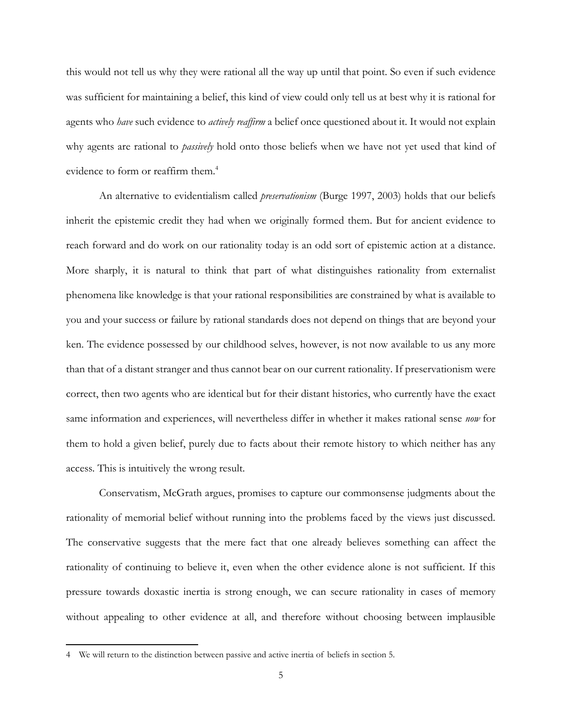this would not tell us why they were rational all the way up until that point. So even if such evidence was sufficient for maintaining a belief, this kind of view could only tell us at best why it is rational for agents who *have* such evidence to *actively reaffirm* a belief once questioned about it. It would not explain why agents are rational to *passively* hold onto those beliefs when we have not yet used that kind of evidence to form or reaffirm them.<sup>4</sup>

An alternative to evidentialism called *preservationism* (Burge 1997, 2003) holds that our beliefs inherit the epistemic credit they had when we originally formed them. But for ancient evidence to reach forward and do work on our rationality today is an odd sort of epistemic action at a distance. More sharply, it is natural to think that part of what distinguishes rationality from externalist phenomena like knowledge is that your rational responsibilities are constrained by what is available to you and your success or failure by rational standards does not depend on things that are beyond your ken. The evidence possessed by our childhood selves, however, is not now available to us any more than that of a distant stranger and thus cannot bear on our current rationality. If preservationism were correct, then two agents who are identical but for their distant histories, who currently have the exact same information and experiences, will nevertheless differ in whether it makes rational sense *now* for them to hold a given belief, purely due to facts about their remote history to which neither has any access. This is intuitively the wrong result.

Conservatism, McGrath argues, promises to capture our commonsense judgments about the rationality of memorial belief without running into the problems faced by the views just discussed. The conservative suggests that the mere fact that one already believes something can affect the rationality of continuing to believe it, even when the other evidence alone is not sufficient. If this pressure towards doxastic inertia is strong enough, we can secure rationality in cases of memory without appealing to other evidence at all, and therefore without choosing between implausible

 $\overline{a}$ 

<sup>4</sup> We will return to the distinction between passive and active inertia of beliefs in section 5.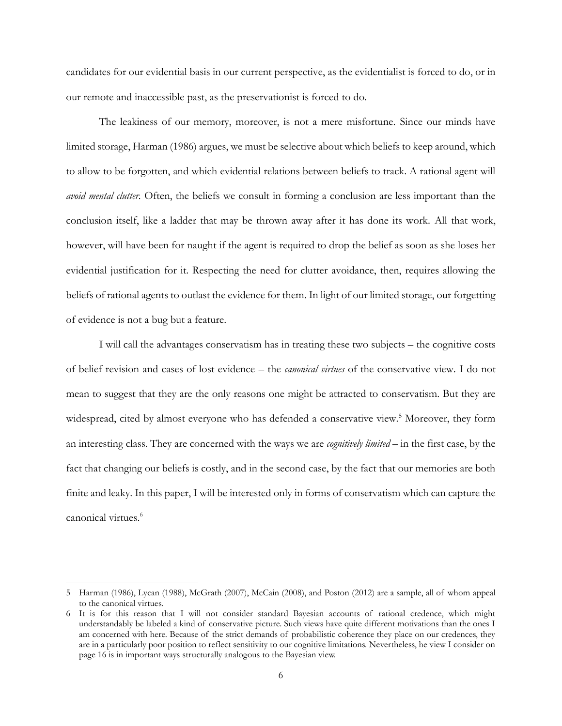candidates for our evidential basis in our current perspective, as the evidentialist is forced to do, or in our remote and inaccessible past, as the preservationist is forced to do.

The leakiness of our memory, moreover, is not a mere misfortune. Since our minds have limited storage, Harman (1986) argues, we must be selective about which beliefs to keep around, which to allow to be forgotten, and which evidential relations between beliefs to track. A rational agent will *avoid mental clutter.* Often, the beliefs we consult in forming a conclusion are less important than the conclusion itself, like a ladder that may be thrown away after it has done its work. All that work, however, will have been for naught if the agent is required to drop the belief as soon as she loses her evidential justification for it. Respecting the need for clutter avoidance, then, requires allowing the beliefs of rational agents to outlast the evidence for them. In light of our limited storage, our forgetting of evidence is not a bug but a feature.

I will call the advantages conservatism has in treating these two subjects – the cognitive costs of belief revision and cases of lost evidence – the *canonical virtues* of the conservative view*.* I do not mean to suggest that they are the only reasons one might be attracted to conservatism. But they are widespread, cited by almost everyone who has defended a conservative view.<sup>5</sup> Moreover, they form an interesting class. They are concerned with the ways we are *cognitively limited* – in the first case, by the fact that changing our beliefs is costly, and in the second case, by the fact that our memories are both finite and leaky. In this paper, I will be interested only in forms of conservatism which can capture the canonical virtues.<sup>6</sup>

l

<sup>5</sup> Harman (1986), Lycan (1988), McGrath (2007), McCain (2008), and Poston (2012) are a sample, all of whom appeal to the canonical virtues.

<sup>6</sup> It is for this reason that I will not consider standard Bayesian accounts of rational credence, which might understandably be labeled a kind of conservative picture. Such views have quite different motivations than the ones I am concerned with here. Because of the strict demands of probabilistic coherence they place on our credences, they are in a particularly poor position to reflect sensitivity to our cognitive limitations. Nevertheless, he view I consider on page 16 is in important ways structurally analogous to the Bayesian view.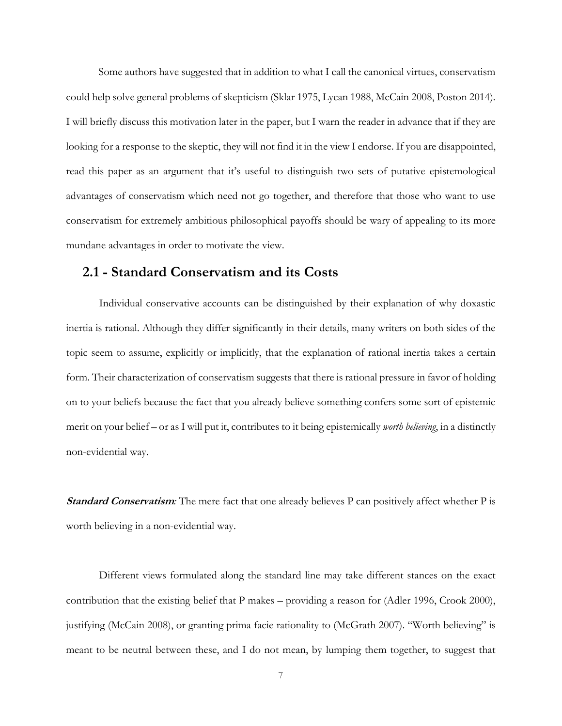Some authors have suggested that in addition to what I call the canonical virtues, conservatism could help solve general problems of skepticism (Sklar 1975, Lycan 1988, McCain 2008, Poston 2014). I will briefly discuss this motivation later in the paper, but I warn the reader in advance that if they are looking for a response to the skeptic, they will not find it in the view I endorse. If you are disappointed, read this paper as an argument that it's useful to distinguish two sets of putative epistemological advantages of conservatism which need not go together, and therefore that those who want to use conservatism for extremely ambitious philosophical payoffs should be wary of appealing to its more mundane advantages in order to motivate the view.

#### **2.1 - Standard Conservatism and its Costs**

Individual conservative accounts can be distinguished by their explanation of why doxastic inertia is rational. Although they differ significantly in their details, many writers on both sides of the topic seem to assume, explicitly or implicitly, that the explanation of rational inertia takes a certain form. Their characterization of conservatism suggests that there is rational pressure in favor of holding on to your beliefs because the fact that you already believe something confers some sort of epistemic merit on your belief – or as I will put it, contributes to it being epistemically *worth believing*, in a distinctly non-evidential way.

**Standard Conservatism***:* The mere fact that one already believes P can positively affect whether P is worth believing in a non-evidential way.

Different views formulated along the standard line may take different stances on the exact contribution that the existing belief that P makes – providing a reason for (Adler 1996, Crook 2000), justifying (McCain 2008), or granting prima facie rationality to (McGrath 2007). "Worth believing" is meant to be neutral between these, and I do not mean, by lumping them together, to suggest that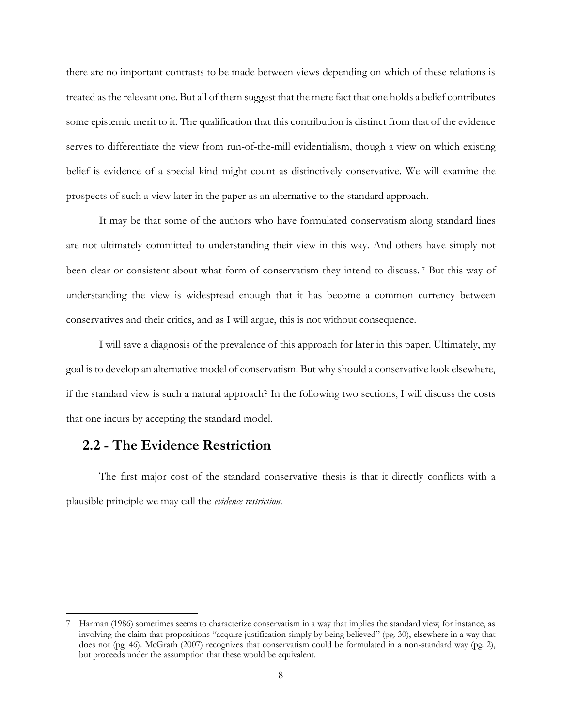there are no important contrasts to be made between views depending on which of these relations is treated as the relevant one. But all of them suggest that the mere fact that one holds a belief contributes some epistemic merit to it. The qualification that this contribution is distinct from that of the evidence serves to differentiate the view from run-of-the-mill evidentialism, though a view on which existing belief is evidence of a special kind might count as distinctively conservative. We will examine the prospects of such a view later in the paper as an alternative to the standard approach.

It may be that some of the authors who have formulated conservatism along standard lines are not ultimately committed to understanding their view in this way. And others have simply not been clear or consistent about what form of conservatism they intend to discuss. <sup>7</sup> But this way of understanding the view is widespread enough that it has become a common currency between conservatives and their critics, and as I will argue, this is not without consequence.

I will save a diagnosis of the prevalence of this approach for later in this paper. Ultimately, my goal is to develop an alternative model of conservatism. But why should a conservative look elsewhere, if the standard view is such a natural approach? In the following two sections, I will discuss the costs that one incurs by accepting the standard model.

### **2.2 - The Evidence Restriction**

l

The first major cost of the standard conservative thesis is that it directly conflicts with a plausible principle we may call the *evidence restriction.*

<sup>7</sup> Harman (1986) sometimes seems to characterize conservatism in a way that implies the standard view, for instance, as involving the claim that propositions "acquire justification simply by being believed" (pg. 30), elsewhere in a way that does not (pg. 46). McGrath (2007) recognizes that conservatism could be formulated in a non-standard way (pg. 2), but proceeds under the assumption that these would be equivalent.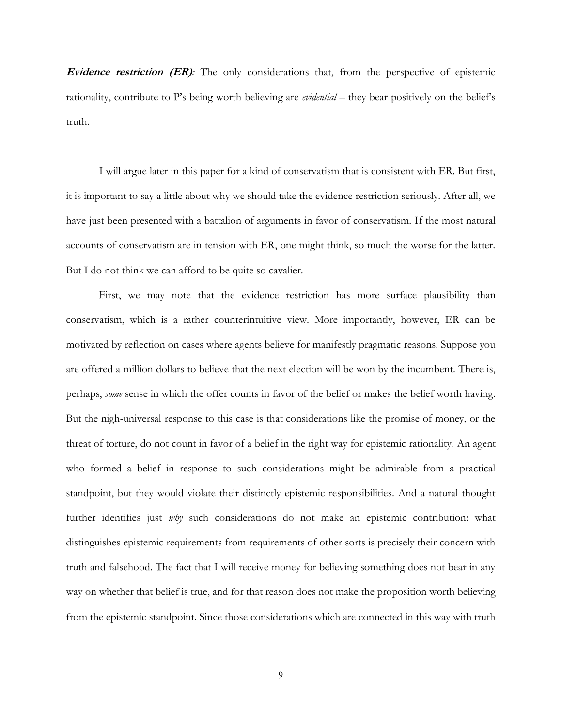**Evidence restriction (ER)**: The only considerations that, from the perspective of epistemic rationality, contribute to P's being worth believing are *evidential* – they bear positively on the belief's truth.

I will argue later in this paper for a kind of conservatism that is consistent with ER. But first, it is important to say a little about why we should take the evidence restriction seriously. After all, we have just been presented with a battalion of arguments in favor of conservatism. If the most natural accounts of conservatism are in tension with ER, one might think, so much the worse for the latter. But I do not think we can afford to be quite so cavalier.

First, we may note that the evidence restriction has more surface plausibility than conservatism, which is a rather counterintuitive view. More importantly, however, ER can be motivated by reflection on cases where agents believe for manifestly pragmatic reasons. Suppose you are offered a million dollars to believe that the next election will be won by the incumbent. There is, perhaps, *some* sense in which the offer counts in favor of the belief or makes the belief worth having. But the nigh-universal response to this case is that considerations like the promise of money, or the threat of torture, do not count in favor of a belief in the right way for epistemic rationality. An agent who formed a belief in response to such considerations might be admirable from a practical standpoint, but they would violate their distinctly epistemic responsibilities. And a natural thought further identifies just *why* such considerations do not make an epistemic contribution: what distinguishes epistemic requirements from requirements of other sorts is precisely their concern with truth and falsehood. The fact that I will receive money for believing something does not bear in any way on whether that belief is true, and for that reason does not make the proposition worth believing from the epistemic standpoint. Since those considerations which are connected in this way with truth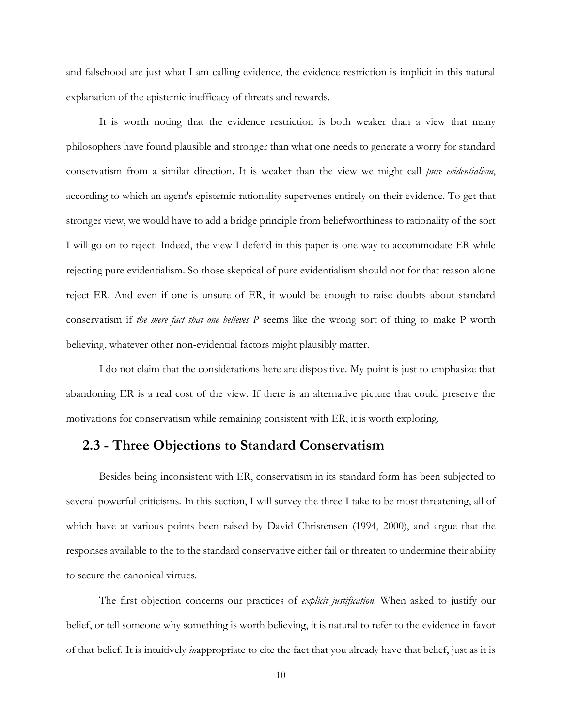and falsehood are just what I am calling evidence, the evidence restriction is implicit in this natural explanation of the epistemic inefficacy of threats and rewards.

It is worth noting that the evidence restriction is both weaker than a view that many philosophers have found plausible and stronger than what one needs to generate a worry for standard conservatism from a similar direction. It is weaker than the view we might call *pure evidentialism*, according to which an agent's epistemic rationality supervenes entirely on their evidence. To get that stronger view, we would have to add a bridge principle from beliefworthiness to rationality of the sort I will go on to reject. Indeed, the view I defend in this paper is one way to accommodate ER while rejecting pure evidentialism. So those skeptical of pure evidentialism should not for that reason alone reject ER. And even if one is unsure of ER, it would be enough to raise doubts about standard conservatism if *the mere fact that one believes P* seems like the wrong sort of thing to make P worth believing, whatever other non-evidential factors might plausibly matter.

I do not claim that the considerations here are dispositive. My point is just to emphasize that abandoning ER is a real cost of the view. If there is an alternative picture that could preserve the motivations for conservatism while remaining consistent with ER, it is worth exploring.

# **2.3 - Three Objections to Standard Conservatism**

Besides being inconsistent with ER, conservatism in its standard form has been subjected to several powerful criticisms. In this section, I will survey the three I take to be most threatening, all of which have at various points been raised by David Christensen (1994, 2000), and argue that the responses available to the to the standard conservative either fail or threaten to undermine their ability to secure the canonical virtues.

The first objection concerns our practices of *explicit justification.* When asked to justify our belief, or tell someone why something is worth believing, it is natural to refer to the evidence in favor of that belief. It is intuitively *in*appropriate to cite the fact that you already have that belief, just as it is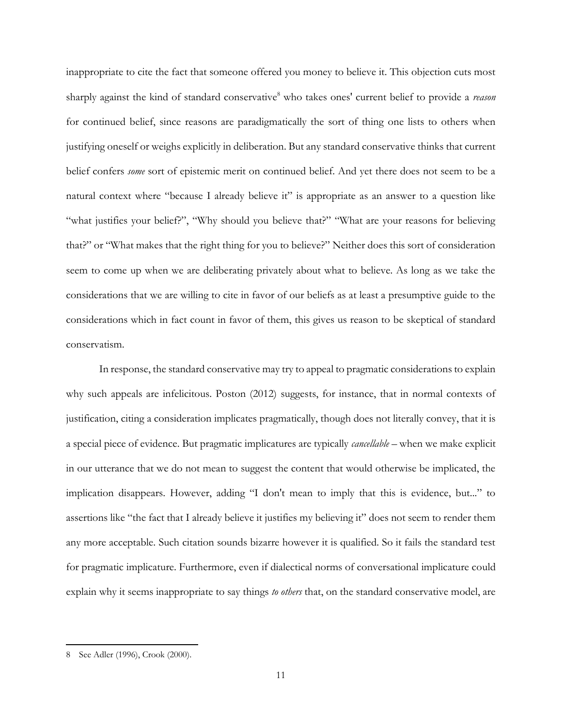inappropriate to cite the fact that someone offered you money to believe it. This objection cuts most sharply against the kind of standard conservative<sup>8</sup> who takes ones' current belief to provide a *reason* for continued belief, since reasons are paradigmatically the sort of thing one lists to others when justifying oneself or weighs explicitly in deliberation. But any standard conservative thinks that current belief confers *some* sort of epistemic merit on continued belief. And yet there does not seem to be a natural context where "because I already believe it" is appropriate as an answer to a question like "what justifies your belief?", "Why should you believe that?" "What are your reasons for believing that?" or "What makes that the right thing for you to believe?" Neither does this sort of consideration seem to come up when we are deliberating privately about what to believe. As long as we take the considerations that we are willing to cite in favor of our beliefs as at least a presumptive guide to the considerations which in fact count in favor of them, this gives us reason to be skeptical of standard conservatism.

In response, the standard conservative may try to appeal to pragmatic considerations to explain why such appeals are infelicitous. Poston (2012) suggests, for instance, that in normal contexts of justification, citing a consideration implicates pragmatically, though does not literally convey, that it is a special piece of evidence. But pragmatic implicatures are typically *cancellable* – when we make explicit in our utterance that we do not mean to suggest the content that would otherwise be implicated, the implication disappears. However, adding "I don't mean to imply that this is evidence, but..." to assertions like "the fact that I already believe it justifies my believing it" does not seem to render them any more acceptable. Such citation sounds bizarre however it is qualified. So it fails the standard test for pragmatic implicature. Furthermore, even if dialectical norms of conversational implicature could explain why it seems inappropriate to say things *to others* that, on the standard conservative model, are

 $\overline{a}$ 

<sup>8</sup> See Adler (1996), Crook (2000).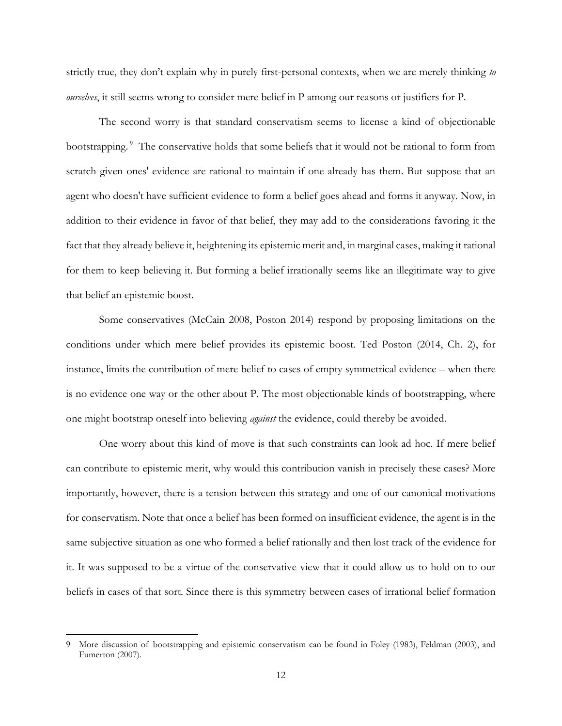strictly true, they don't explain why in purely first-personal contexts, when we are merely thinking *to ourselves*, it still seems wrong to consider mere belief in P among our reasons or justifiers for P.

The second worry is that standard conservatism seems to license a kind of objectionable bootstrapping.<sup>9</sup> The conservative holds that some beliefs that it would not be rational to form from scratch given ones' evidence are rational to maintain if one already has them. But suppose that an agent who doesn't have sufficient evidence to form a belief goes ahead and forms it anyway. Now, in addition to their evidence in favor of that belief, they may add to the considerations favoring it the fact that they already believe it, heightening its epistemic merit and, in marginal cases, making it rational for them to keep believing it. But forming a belief irrationally seems like an illegitimate way to give that belief an epistemic boost.

Some conservatives (McCain 2008, Poston 2014) respond by proposing limitations on the conditions under which mere belief provides its epistemic boost. Ted Poston (2014, Ch. 2), for instance, limits the contribution of mere belief to cases of empty symmetrical evidence – when there is no evidence one way or the other about P. The most objectionable kinds of bootstrapping, where one might bootstrap oneself into believing *against* the evidence, could thereby be avoided.

One worry about this kind of move is that such constraints can look ad hoc. If mere belief can contribute to epistemic merit, why would this contribution vanish in precisely these cases? More importantly, however, there is a tension between this strategy and one of our canonical motivations for conservatism. Note that once a belief has been formed on insufficient evidence, the agent is in the same subjective situation as one who formed a belief rationally and then lost track of the evidence for it. It was supposed to be a virtue of the conservative view that it could allow us to hold on to our beliefs in cases of that sort. Since there is this symmetry between cases of irrational belief formation

 $\overline{\phantom{a}}$ 

<sup>9</sup> More discussion of bootstrapping and epistemic conservatism can be found in Foley (1983), Feldman (2003), and Fumerton (2007).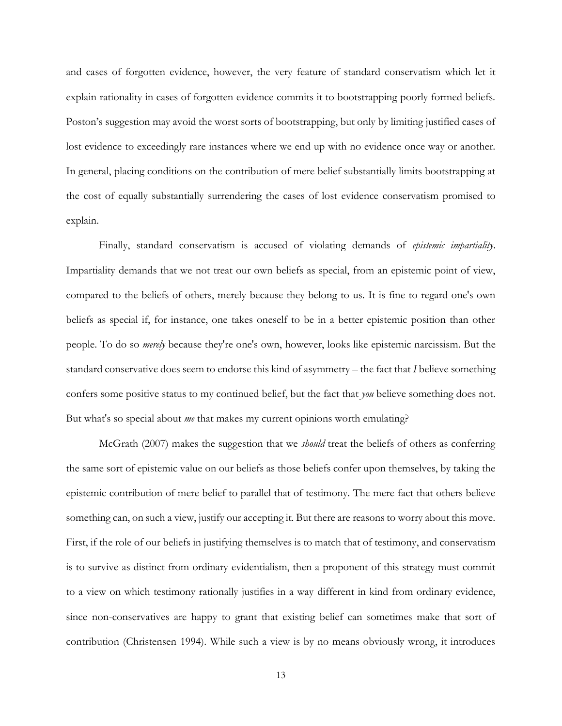and cases of forgotten evidence, however, the very feature of standard conservatism which let it explain rationality in cases of forgotten evidence commits it to bootstrapping poorly formed beliefs. Poston's suggestion may avoid the worst sorts of bootstrapping, but only by limiting justified cases of lost evidence to exceedingly rare instances where we end up with no evidence once way or another. In general, placing conditions on the contribution of mere belief substantially limits bootstrapping at the cost of equally substantially surrendering the cases of lost evidence conservatism promised to explain.

Finally, standard conservatism is accused of violating demands of *epistemic impartiality*. Impartiality demands that we not treat our own beliefs as special, from an epistemic point of view, compared to the beliefs of others, merely because they belong to us. It is fine to regard one's own beliefs as special if, for instance, one takes oneself to be in a better epistemic position than other people. To do so *merely* because they're one's own, however, looks like epistemic narcissism. But the standard conservative does seem to endorse this kind of asymmetry – the fact that *I* believe something confers some positive status to my continued belief, but the fact that *you* believe something does not. But what's so special about *me* that makes my current opinions worth emulating?

McGrath (2007) makes the suggestion that we *should* treat the beliefs of others as conferring the same sort of epistemic value on our beliefs as those beliefs confer upon themselves, by taking the epistemic contribution of mere belief to parallel that of testimony. The mere fact that others believe something can, on such a view, justify our accepting it. But there are reasons to worry about this move. First, if the role of our beliefs in justifying themselves is to match that of testimony, and conservatism is to survive as distinct from ordinary evidentialism, then a proponent of this strategy must commit to a view on which testimony rationally justifies in a way different in kind from ordinary evidence, since non-conservatives are happy to grant that existing belief can sometimes make that sort of contribution (Christensen 1994). While such a view is by no means obviously wrong, it introduces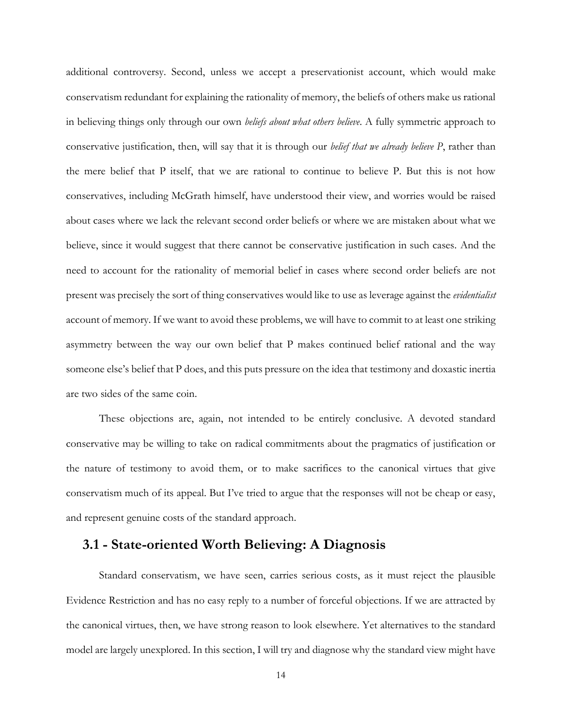additional controversy. Second, unless we accept a preservationist account, which would make conservatism redundant for explaining the rationality of memory, the beliefs of others make us rational in believing things only through our own *beliefs about what others believe*. A fully symmetric approach to conservative justification, then, will say that it is through our *belief that we already believe P*, rather than the mere belief that P itself, that we are rational to continue to believe P. But this is not how conservatives, including McGrath himself, have understood their view, and worries would be raised about cases where we lack the relevant second order beliefs or where we are mistaken about what we believe, since it would suggest that there cannot be conservative justification in such cases. And the need to account for the rationality of memorial belief in cases where second order beliefs are not present was precisely the sort of thing conservatives would like to use as leverage against the *evidentialist* account of memory. If we want to avoid these problems, we will have to commit to at least one striking asymmetry between the way our own belief that P makes continued belief rational and the way someone else's belief that P does, and this puts pressure on the idea that testimony and doxastic inertia are two sides of the same coin.

These objections are, again, not intended to be entirely conclusive. A devoted standard conservative may be willing to take on radical commitments about the pragmatics of justification or the nature of testimony to avoid them, or to make sacrifices to the canonical virtues that give conservatism much of its appeal. But I've tried to argue that the responses will not be cheap or easy, and represent genuine costs of the standard approach.

## **3.1 - State-oriented Worth Believing: A Diagnosis**

Standard conservatism, we have seen, carries serious costs, as it must reject the plausible Evidence Restriction and has no easy reply to a number of forceful objections. If we are attracted by the canonical virtues, then, we have strong reason to look elsewhere. Yet alternatives to the standard model are largely unexplored. In this section, I will try and diagnose why the standard view might have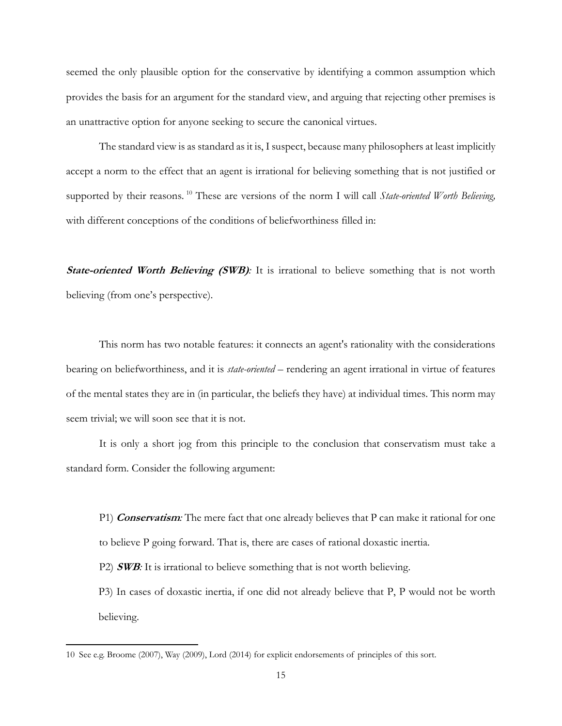seemed the only plausible option for the conservative by identifying a common assumption which provides the basis for an argument for the standard view, and arguing that rejecting other premises is an unattractive option for anyone seeking to secure the canonical virtues.

The standard view is as standard as it is, I suspect, because many philosophers at least implicitly accept a norm to the effect that an agent is irrational for believing something that is not justified or supported by their reasons.<sup>10</sup> These are versions of the norm I will call *State-oriented Worth Believing*, with different conceptions of the conditions of beliefworthiness filled in:

**State-oriented Worth Believing (SWB)**: It is irrational to believe something that is not worth believing (from one's perspective).

This norm has two notable features: it connects an agent's rationality with the considerations bearing on beliefworthiness, and it is *state-oriented* – rendering an agent irrational in virtue of features of the mental states they are in (in particular, the beliefs they have) at individual times. This norm may seem trivial; we will soon see that it is not.

It is only a short jog from this principle to the conclusion that conservatism must take a standard form. Consider the following argument:

P1) **Conservatism***:* The mere fact that one already believes that P can make it rational for one to believe P going forward. That is, there are cases of rational doxastic inertia. P2) **SWB***:* It is irrational to believe something that is not worth believing. P3) In cases of doxastic inertia, if one did not already believe that P, P would not be worth believing.

 $\overline{a}$ 

<sup>10</sup> See e.g. Broome (2007), Way (2009), Lord (2014) for explicit endorsements of principles of this sort.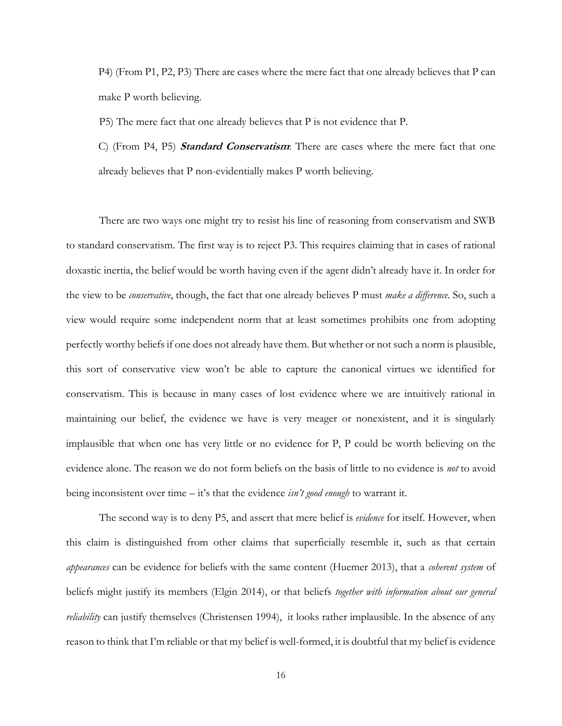P4) (From P1, P2, P3) There are cases where the mere fact that one already believes that P can make P worth believing.

P5) The mere fact that one already believes that P is not evidence that P.

C) (From P4, P5) **Standard Conservatism**: There are cases where the mere fact that one already believes that P non-evidentially makes P worth believing.

There are two ways one might try to resist his line of reasoning from conservatism and SWB to standard conservatism. The first way is to reject P3. This requires claiming that in cases of rational doxastic inertia, the belief would be worth having even if the agent didn't already have it. In order for the view to be *conservative*, though, the fact that one already believes P must *make a difference.* So, such a view would require some independent norm that at least sometimes prohibits one from adopting perfectly worthy beliefs if one does not already have them. But whether or not such a norm is plausible, this sort of conservative view won't be able to capture the canonical virtues we identified for conservatism. This is because in many cases of lost evidence where we are intuitively rational in maintaining our belief, the evidence we have is very meager or nonexistent, and it is singularly implausible that when one has very little or no evidence for P, P could be worth believing on the evidence alone. The reason we do not form beliefs on the basis of little to no evidence is *not* to avoid being inconsistent over time – it's that the evidence *isn't good enough* to warrant it.

The second way is to deny P5, and assert that mere belief is *evidence* for itself. However, when this claim is distinguished from other claims that superficially resemble it, such as that certain *appearances* can be evidence for beliefs with the same content (Huemer 2013), that a *coherent system* of beliefs might justify its members (Elgin 2014), or that beliefs *together with information about our general reliability* can justify themselves (Christensen 1994), it looks rather implausible. In the absence of any reason to think that I'm reliable or that my belief is well-formed, it is doubtful that my belief is evidence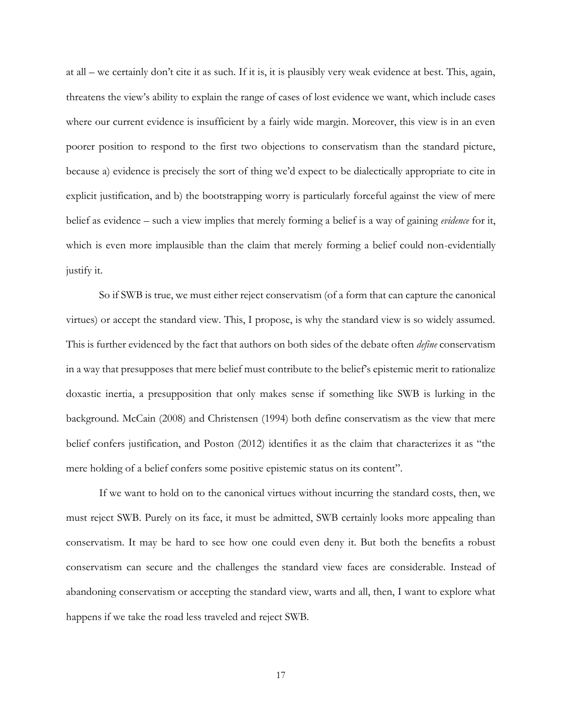at all – we certainly don't cite it as such. If it is, it is plausibly very weak evidence at best. This, again, threatens the view's ability to explain the range of cases of lost evidence we want, which include cases where our current evidence is insufficient by a fairly wide margin. Moreover, this view is in an even poorer position to respond to the first two objections to conservatism than the standard picture, because a) evidence is precisely the sort of thing we'd expect to be dialectically appropriate to cite in explicit justification, and b) the bootstrapping worry is particularly forceful against the view of mere belief as evidence – such a view implies that merely forming a belief is a way of gaining *evidence* for it, which is even more implausible than the claim that merely forming a belief could non-evidentially justify it.

So if SWB is true, we must either reject conservatism (of a form that can capture the canonical virtues) or accept the standard view. This, I propose, is why the standard view is so widely assumed. This is further evidenced by the fact that authors on both sides of the debate often *define* conservatism in a way that presupposes that mere belief must contribute to the belief's epistemic merit to rationalize doxastic inertia, a presupposition that only makes sense if something like SWB is lurking in the background. McCain (2008) and Christensen (1994) both define conservatism as the view that mere belief confers justification, and Poston (2012) identifies it as the claim that characterizes it as "the mere holding of a belief confers some positive epistemic status on its content".

If we want to hold on to the canonical virtues without incurring the standard costs, then, we must reject SWB. Purely on its face, it must be admitted, SWB certainly looks more appealing than conservatism. It may be hard to see how one could even deny it. But both the benefits a robust conservatism can secure and the challenges the standard view faces are considerable. Instead of abandoning conservatism or accepting the standard view, warts and all, then, I want to explore what happens if we take the road less traveled and reject SWB.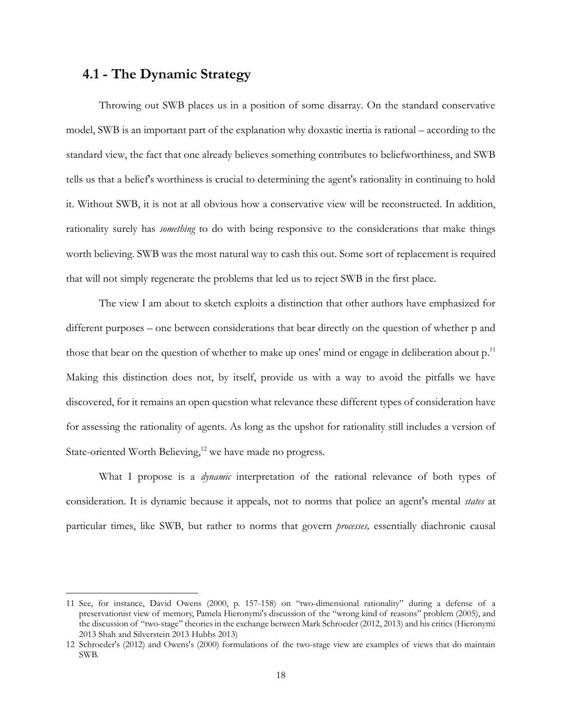## **4.1 - The Dynamic Strategy**

 $\overline{\phantom{a}}$ 

Throwing out SWB places us in a position of some disarray. On the standard conservative model, SWB is an important part of the explanation why doxastic inertia is rational – according to the standard view, the fact that one already believes something contributes to beliefworthiness, and SWB tells us that a belief's worthiness is crucial to determining the agent's rationality in continuing to hold it. Without SWB, it is not at all obvious how a conservative view will be reconstructed. In addition, rationality surely has *something* to do with being responsive to the considerations that make things worth believing. SWB was the most natural way to cash this out. Some sort of replacement is required that will not simply regenerate the problems that led us to reject SWB in the first place.

The view I am about to sketch exploits a distinction that other authors have emphasized for different purposes – one between considerations that bear directly on the question of whether p and those that bear on the question of whether to make up ones' mind or engage in deliberation about  $p<sup>11</sup>$ Making this distinction does not, by itself, provide us with a way to avoid the pitfalls we have discovered, for it remains an open question what relevance these different types of consideration have for assessing the rationality of agents. As long as the upshot for rationality still includes a version of State-oriented Worth Believing,<sup>12</sup> we have made no progress.

What I propose is a *dynamic* interpretation of the rational relevance of both types of consideration. It is dynamic because it appeals, not to norms that police an agent's mental *states* at particular times, like SWB, but rather to norms that govern *processes,* essentially diachronic causal

<sup>11</sup> See, for instance, David Owens (2000, p. 157-158) on "two-dimensional rationality" during a defense of a preservationist view of memory, Pamela Hieronymi's discussion of the "wrong kind of reasons" problem (2005), and the discussion of "two-stage" theories in the exchange between Mark Schroeder (2012, 2013) and his critics (Hieronymi 2013 Shah and Silverstein 2013 Hubbs 2013)

<sup>12</sup> Schroeder's (2012) and Owens's (2000) formulations of the two-stage view are examples of views that do maintain SWB.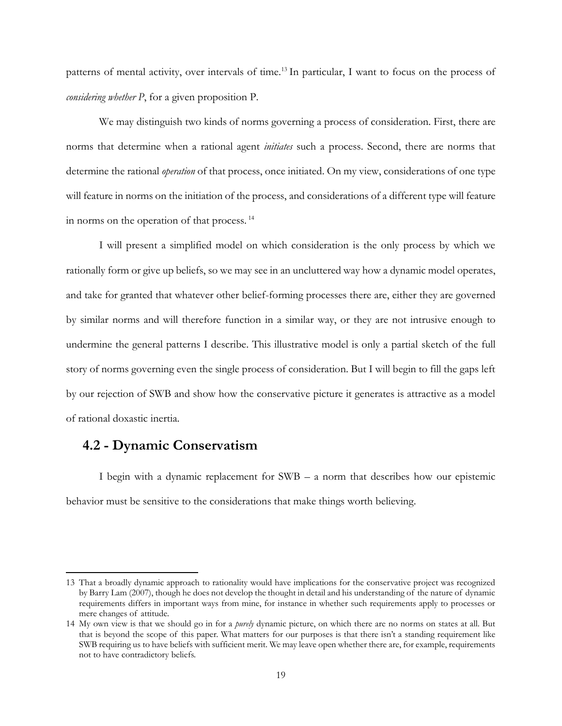patterns of mental activity, over intervals of time.<sup>13</sup> In particular, I want to focus on the process of *considering whether P*, for a given proposition P.

We may distinguish two kinds of norms governing a process of consideration. First, there are norms that determine when a rational agent *initiates* such a process. Second, there are norms that determine the rational *operation* of that process, once initiated. On my view, considerations of one type will feature in norms on the initiation of the process, and considerations of a different type will feature in norms on the operation of that process.<sup>14</sup>

I will present a simplified model on which consideration is the only process by which we rationally form or give up beliefs, so we may see in an uncluttered way how a dynamic model operates, and take for granted that whatever other belief-forming processes there are, either they are governed by similar norms and will therefore function in a similar way, or they are not intrusive enough to undermine the general patterns I describe. This illustrative model is only a partial sketch of the full story of norms governing even the single process of consideration. But I will begin to fill the gaps left by our rejection of SWB and show how the conservative picture it generates is attractive as a model of rational doxastic inertia.

## **4.2 - Dynamic Conservatism**

l

I begin with a dynamic replacement for SWB – a norm that describes how our epistemic behavior must be sensitive to the considerations that make things worth believing.

<sup>13</sup> That a broadly dynamic approach to rationality would have implications for the conservative project was recognized by Barry Lam (2007), though he does not develop the thought in detail and his understanding of the nature of dynamic requirements differs in important ways from mine, for instance in whether such requirements apply to processes or mere changes of attitude.

<sup>14</sup> My own view is that we should go in for a *purely* dynamic picture, on which there are no norms on states at all. But that is beyond the scope of this paper. What matters for our purposes is that there isn't a standing requirement like SWB requiring us to have beliefs with sufficient merit. We may leave open whether there are, for example, requirements not to have contradictory beliefs.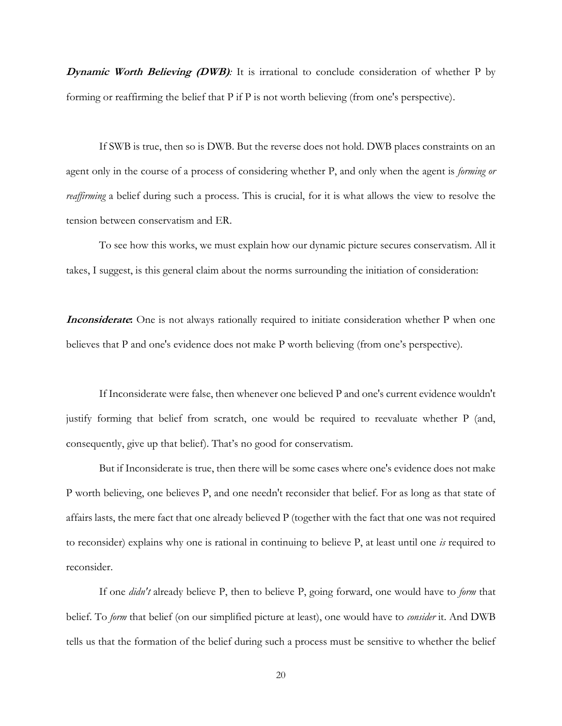**Dynamic Worth Believing (DWB)**: It is irrational to conclude consideration of whether P by forming or reaffirming the belief that P if P is not worth believing (from one's perspective).

If SWB is true, then so is DWB. But the reverse does not hold. DWB places constraints on an agent only in the course of a process of considering whether P, and only when the agent is *forming or reaffirming* a belief during such a process. This is crucial, for it is what allows the view to resolve the tension between conservatism and ER.

To see how this works, we must explain how our dynamic picture secures conservatism. All it takes, I suggest, is this general claim about the norms surrounding the initiation of consideration:

**Inconsiderate**: One is not always rationally required to initiate consideration whether P when one believes that P and one's evidence does not make P worth believing (from one's perspective)*.*

If Inconsiderate were false, then whenever one believed P and one's current evidence wouldn't justify forming that belief from scratch, one would be required to reevaluate whether P (and, consequently, give up that belief). That's no good for conservatism.

But if Inconsiderate is true, then there will be some cases where one's evidence does not make P worth believing, one believes P, and one needn't reconsider that belief. For as long as that state of affairs lasts, the mere fact that one already believed P (together with the fact that one was not required to reconsider) explains why one is rational in continuing to believe P, at least until one *is* required to reconsider.

If one *didn't* already believe P, then to believe P, going forward, one would have to *form* that belief. To *form* that belief (on our simplified picture at least), one would have to *consider* it. And DWB tells us that the formation of the belief during such a process must be sensitive to whether the belief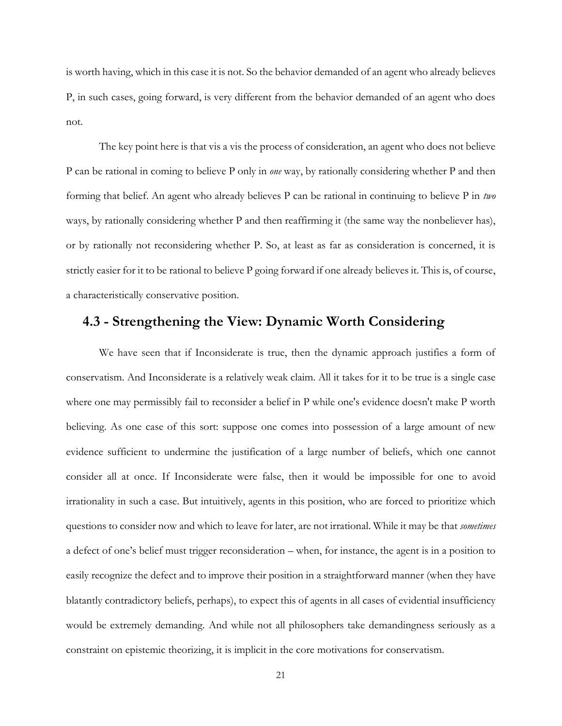is worth having, which in this case it is not. So the behavior demanded of an agent who already believes P, in such cases, going forward, is very different from the behavior demanded of an agent who does not.

The key point here is that vis a vis the process of consideration, an agent who does not believe P can be rational in coming to believe P only in *one* way, by rationally considering whether P and then forming that belief. An agent who already believes P can be rational in continuing to believe P in *two* ways, by rationally considering whether P and then reaffirming it (the same way the nonbeliever has), or by rationally not reconsidering whether P. So, at least as far as consideration is concerned, it is strictly easier for it to be rational to believe P going forward if one already believes it. This is, of course, a characteristically conservative position.

## **4.3 - Strengthening the View: Dynamic Worth Considering**

We have seen that if Inconsiderate is true, then the dynamic approach justifies a form of conservatism. And Inconsiderate is a relatively weak claim. All it takes for it to be true is a single case where one may permissibly fail to reconsider a belief in P while one's evidence doesn't make P worth believing. As one case of this sort: suppose one comes into possession of a large amount of new evidence sufficient to undermine the justification of a large number of beliefs, which one cannot consider all at once. If Inconsiderate were false, then it would be impossible for one to avoid irrationality in such a case. But intuitively, agents in this position, who are forced to prioritize which questions to consider now and which to leave for later, are not irrational. While it may be that *sometimes*  a defect of one's belief must trigger reconsideration – when, for instance, the agent is in a position to easily recognize the defect and to improve their position in a straightforward manner (when they have blatantly contradictory beliefs, perhaps), to expect this of agents in all cases of evidential insufficiency would be extremely demanding. And while not all philosophers take demandingness seriously as a constraint on epistemic theorizing, it is implicit in the core motivations for conservatism.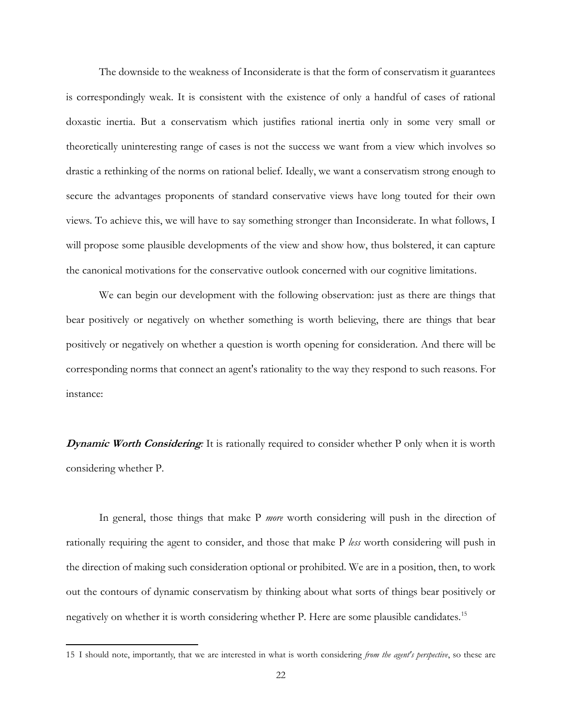The downside to the weakness of Inconsiderate is that the form of conservatism it guarantees is correspondingly weak. It is consistent with the existence of only a handful of cases of rational doxastic inertia. But a conservatism which justifies rational inertia only in some very small or theoretically uninteresting range of cases is not the success we want from a view which involves so drastic a rethinking of the norms on rational belief. Ideally, we want a conservatism strong enough to secure the advantages proponents of standard conservative views have long touted for their own views. To achieve this, we will have to say something stronger than Inconsiderate. In what follows, I will propose some plausible developments of the view and show how, thus bolstered, it can capture the canonical motivations for the conservative outlook concerned with our cognitive limitations.

We can begin our development with the following observation: just as there are things that bear positively or negatively on whether something is worth believing, there are things that bear positively or negatively on whether a question is worth opening for consideration. And there will be corresponding norms that connect an agent's rationality to the way they respond to such reasons. For instance:

**Dynamic Worth Considering**: It is rationally required to consider whether P only when it is worth considering whether P.

In general, those things that make P *more* worth considering will push in the direction of rationally requiring the agent to consider, and those that make P *less* worth considering will push in the direction of making such consideration optional or prohibited. We are in a position, then, to work out the contours of dynamic conservatism by thinking about what sorts of things bear positively or negatively on whether it is worth considering whether P. Here are some plausible candidates.<sup>15</sup>

 $\overline{a}$ 

<sup>15</sup> I should note, importantly, that we are interested in what is worth considering *from the agent's perspective*, so these are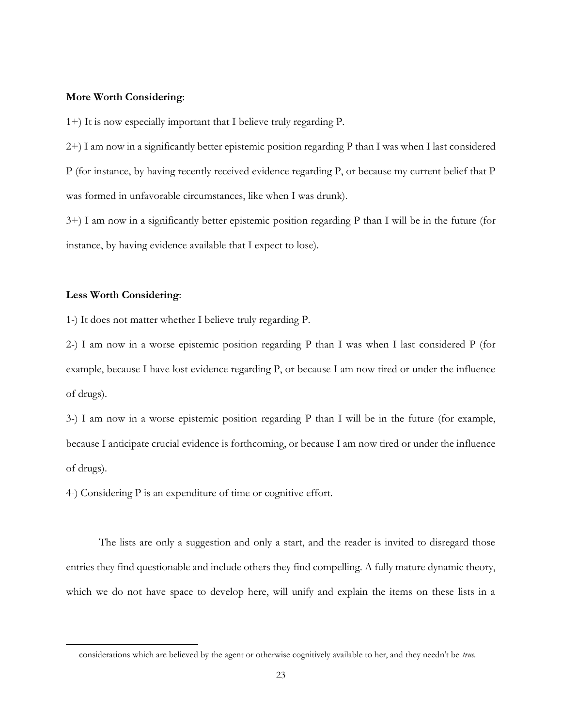#### **More Worth Considering**:

1+) It is now especially important that I believe truly regarding P.

2+) I am now in a significantly better epistemic position regarding P than I was when I last considered P (for instance, by having recently received evidence regarding P, or because my current belief that P was formed in unfavorable circumstances, like when I was drunk).

3+) I am now in a significantly better epistemic position regarding P than I will be in the future (for instance, by having evidence available that I expect to lose).

#### **Less Worth Considering**:

 $\overline{a}$ 

1-) It does not matter whether I believe truly regarding P.

2-) I am now in a worse epistemic position regarding P than I was when I last considered P (for example, because I have lost evidence regarding P, or because I am now tired or under the influence of drugs).

3-) I am now in a worse epistemic position regarding P than I will be in the future (for example, because I anticipate crucial evidence is forthcoming, or because I am now tired or under the influence of drugs).

4-) Considering P is an expenditure of time or cognitive effort*.*

The lists are only a suggestion and only a start, and the reader is invited to disregard those entries they find questionable and include others they find compelling. A fully mature dynamic theory, which we do not have space to develop here, will unify and explain the items on these lists in a

considerations which are believed by the agent or otherwise cognitively available to her, and they needn't be *true.*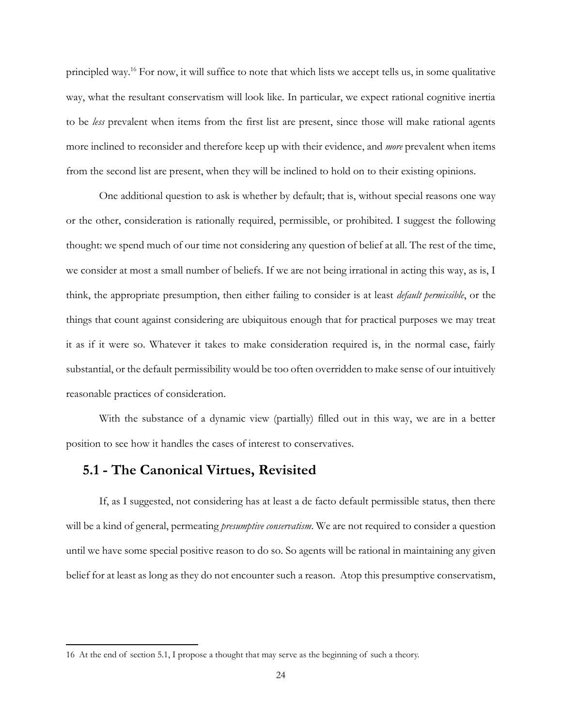principled way.<sup>16</sup> For now, it will suffice to note that which lists we accept tells us, in some qualitative way, what the resultant conservatism will look like. In particular, we expect rational cognitive inertia to be *less* prevalent when items from the first list are present, since those will make rational agents more inclined to reconsider and therefore keep up with their evidence, and *more* prevalent when items from the second list are present, when they will be inclined to hold on to their existing opinions.

One additional question to ask is whether by default; that is, without special reasons one way or the other, consideration is rationally required, permissible, or prohibited. I suggest the following thought: we spend much of our time not considering any question of belief at all. The rest of the time, we consider at most a small number of beliefs. If we are not being irrational in acting this way, as is, I think, the appropriate presumption, then either failing to consider is at least *default permissible*, or the things that count against considering are ubiquitous enough that for practical purposes we may treat it as if it were so. Whatever it takes to make consideration required is, in the normal case, fairly substantial, or the default permissibility would be too often overridden to make sense of our intuitively reasonable practices of consideration.

With the substance of a dynamic view (partially) filled out in this way, we are in a better position to see how it handles the cases of interest to conservatives.

### **5.1 - The Canonical Virtues, Revisited**

 $\overline{a}$ 

If, as I suggested, not considering has at least a de facto default permissible status, then there will be a kind of general, permeating *presumptive conservatism*. We are not required to consider a question until we have some special positive reason to do so. So agents will be rational in maintaining any given belief for at least as long as they do not encounter such a reason. Atop this presumptive conservatism,

<sup>16</sup> At the end of section 5.1, I propose a thought that may serve as the beginning of such a theory.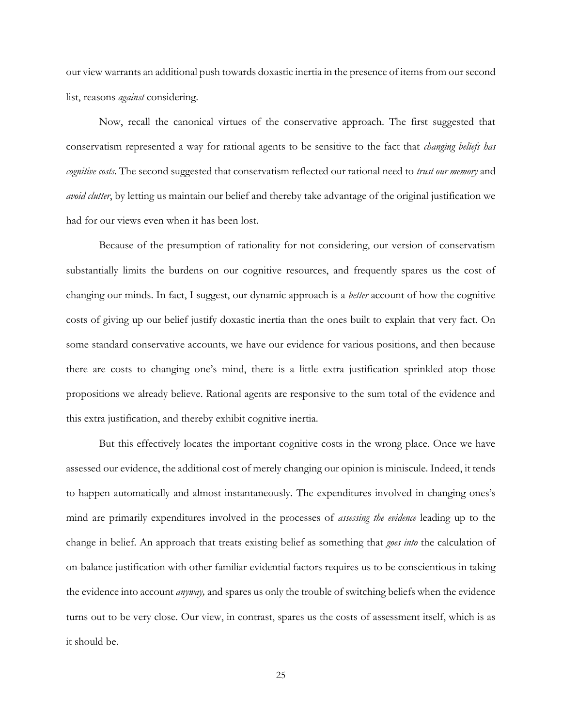our view warrants an additional push towards doxastic inertia in the presence of items from our second list, reasons *against* considering.

Now, recall the canonical virtues of the conservative approach. The first suggested that conservatism represented a way for rational agents to be sensitive to the fact that *changing beliefs has cognitive costs*. The second suggested that conservatism reflected our rational need to *trust our memory* and *avoid clutter*, by letting us maintain our belief and thereby take advantage of the original justification we had for our views even when it has been lost.

Because of the presumption of rationality for not considering, our version of conservatism substantially limits the burdens on our cognitive resources, and frequently spares us the cost of changing our minds. In fact, I suggest, our dynamic approach is a *better* account of how the cognitive costs of giving up our belief justify doxastic inertia than the ones built to explain that very fact. On some standard conservative accounts, we have our evidence for various positions, and then because there are costs to changing one's mind, there is a little extra justification sprinkled atop those propositions we already believe. Rational agents are responsive to the sum total of the evidence and this extra justification, and thereby exhibit cognitive inertia.

But this effectively locates the important cognitive costs in the wrong place. Once we have assessed our evidence, the additional cost of merely changing our opinion is miniscule. Indeed, it tends to happen automatically and almost instantaneously*.* The expenditures involved in changing ones's mind are primarily expenditures involved in the processes of *assessing the evidence* leading up to the change in belief. An approach that treats existing belief as something that *goes into* the calculation of on-balance justification with other familiar evidential factors requires us to be conscientious in taking the evidence into account *anyway,* and spares us only the trouble of switching beliefs when the evidence turns out to be very close. Our view, in contrast, spares us the costs of assessment itself, which is as it should be.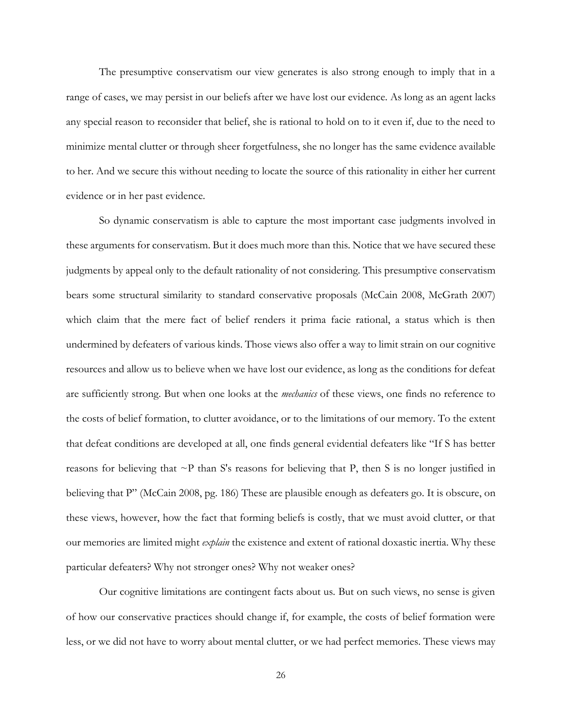The presumptive conservatism our view generates is also strong enough to imply that in a range of cases, we may persist in our beliefs after we have lost our evidence. As long as an agent lacks any special reason to reconsider that belief, she is rational to hold on to it even if, due to the need to minimize mental clutter or through sheer forgetfulness, she no longer has the same evidence available to her. And we secure this without needing to locate the source of this rationality in either her current evidence or in her past evidence.

So dynamic conservatism is able to capture the most important case judgments involved in these arguments for conservatism. But it does much more than this. Notice that we have secured these judgments by appeal only to the default rationality of not considering. This presumptive conservatism bears some structural similarity to standard conservative proposals (McCain 2008, McGrath 2007) which claim that the mere fact of belief renders it prima facie rational, a status which is then undermined by defeaters of various kinds. Those views also offer a way to limit strain on our cognitive resources and allow us to believe when we have lost our evidence, as long as the conditions for defeat are sufficiently strong. But when one looks at the *mechanics* of these views, one finds no reference to the costs of belief formation, to clutter avoidance, or to the limitations of our memory. To the extent that defeat conditions are developed at all, one finds general evidential defeaters like "If S has better reasons for believing that ~P than S's reasons for believing that P, then S is no longer justified in believing that P" (McCain 2008, pg. 186) These are plausible enough as defeaters go. It is obscure, on these views, however, how the fact that forming beliefs is costly, that we must avoid clutter, or that our memories are limited might *explain* the existence and extent of rational doxastic inertia. Why these particular defeaters? Why not stronger ones? Why not weaker ones?

Our cognitive limitations are contingent facts about us. But on such views, no sense is given of how our conservative practices should change if, for example, the costs of belief formation were less, or we did not have to worry about mental clutter, or we had perfect memories. These views may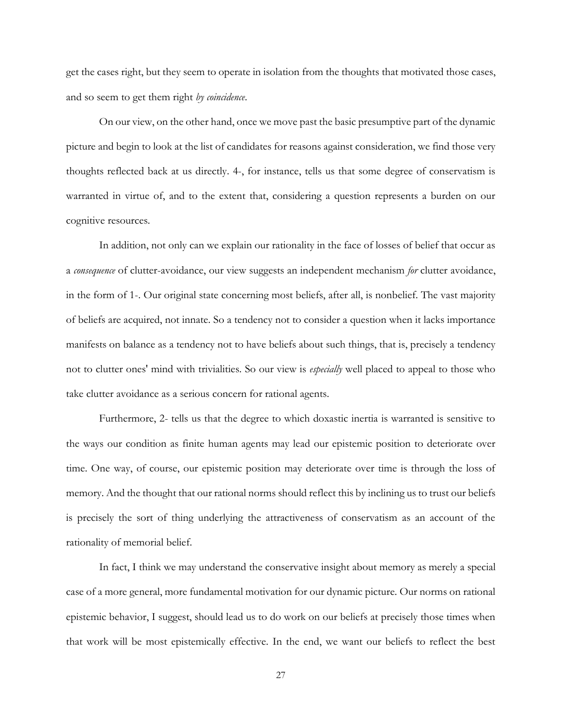get the cases right, but they seem to operate in isolation from the thoughts that motivated those cases, and so seem to get them right *by coincidence*.

On our view, on the other hand, once we move past the basic presumptive part of the dynamic picture and begin to look at the list of candidates for reasons against consideration, we find those very thoughts reflected back at us directly. 4-, for instance, tells us that some degree of conservatism is warranted in virtue of, and to the extent that, considering a question represents a burden on our cognitive resources.

In addition, not only can we explain our rationality in the face of losses of belief that occur as a *consequence* of clutter-avoidance, our view suggests an independent mechanism *for* clutter avoidance, in the form of 1-. Our original state concerning most beliefs, after all, is nonbelief. The vast majority of beliefs are acquired, not innate. So a tendency not to consider a question when it lacks importance manifests on balance as a tendency not to have beliefs about such things, that is, precisely a tendency not to clutter ones' mind with trivialities. So our view is *especially* well placed to appeal to those who take clutter avoidance as a serious concern for rational agents.

Furthermore, 2- tells us that the degree to which doxastic inertia is warranted is sensitive to the ways our condition as finite human agents may lead our epistemic position to deteriorate over time. One way, of course, our epistemic position may deteriorate over time is through the loss of memory. And the thought that our rational norms should reflect this by inclining us to trust our beliefs is precisely the sort of thing underlying the attractiveness of conservatism as an account of the rationality of memorial belief.

In fact, I think we may understand the conservative insight about memory as merely a special case of a more general, more fundamental motivation for our dynamic picture. Our norms on rational epistemic behavior, I suggest, should lead us to do work on our beliefs at precisely those times when that work will be most epistemically effective. In the end, we want our beliefs to reflect the best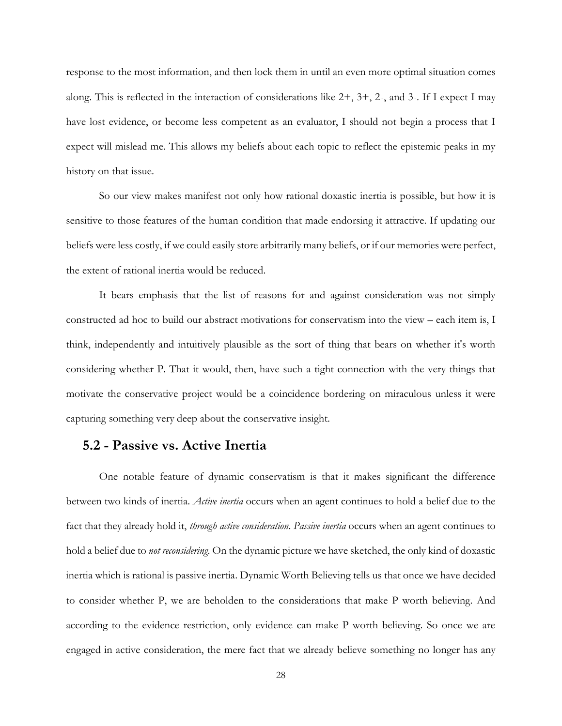response to the most information, and then lock them in until an even more optimal situation comes along. This is reflected in the interaction of considerations like  $2+$ ,  $3+$ ,  $2-$ , and  $3-$ . If I expect I may have lost evidence, or become less competent as an evaluator, I should not begin a process that I expect will mislead me. This allows my beliefs about each topic to reflect the epistemic peaks in my history on that issue.

So our view makes manifest not only how rational doxastic inertia is possible, but how it is sensitive to those features of the human condition that made endorsing it attractive. If updating our beliefs were less costly, if we could easily store arbitrarily many beliefs, or if our memories were perfect, the extent of rational inertia would be reduced.

It bears emphasis that the list of reasons for and against consideration was not simply constructed ad hoc to build our abstract motivations for conservatism into the view – each item is, I think, independently and intuitively plausible as the sort of thing that bears on whether it's worth considering whether P. That it would, then, have such a tight connection with the very things that motivate the conservative project would be a coincidence bordering on miraculous unless it were capturing something very deep about the conservative insight.

# **5.2 - Passive vs. Active Inertia**

One notable feature of dynamic conservatism is that it makes significant the difference between two kinds of inertia. *Active inertia* occurs when an agent continues to hold a belief due to the fact that they already hold it, *through active consideration*. *Passive inertia* occurs when an agent continues to hold a belief due to *not reconsidering*. On the dynamic picture we have sketched, the only kind of doxastic inertia which is rational is passive inertia. Dynamic Worth Believing tells us that once we have decided to consider whether P, we are beholden to the considerations that make P worth believing. And according to the evidence restriction, only evidence can make P worth believing. So once we are engaged in active consideration, the mere fact that we already believe something no longer has any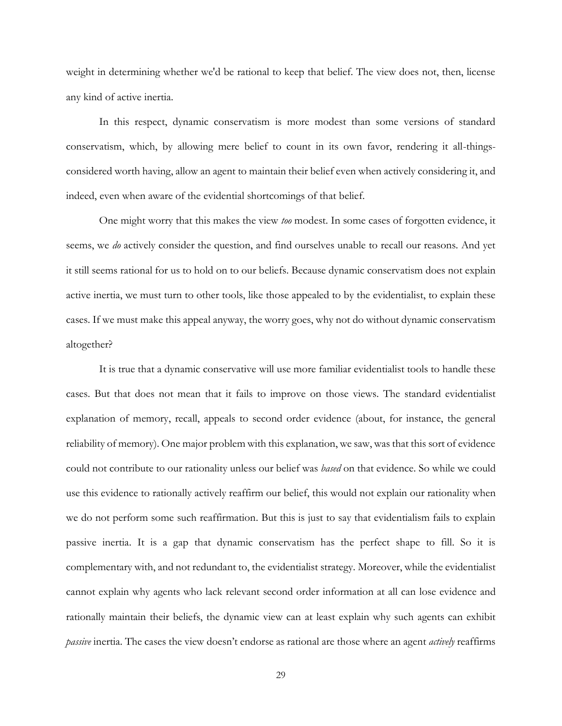weight in determining whether we'd be rational to keep that belief. The view does not, then, license any kind of active inertia.

In this respect, dynamic conservatism is more modest than some versions of standard conservatism, which, by allowing mere belief to count in its own favor, rendering it all-thingsconsidered worth having, allow an agent to maintain their belief even when actively considering it, and indeed, even when aware of the evidential shortcomings of that belief.

One might worry that this makes the view *too* modest. In some cases of forgotten evidence, it seems, we *do* actively consider the question, and find ourselves unable to recall our reasons. And yet it still seems rational for us to hold on to our beliefs. Because dynamic conservatism does not explain active inertia, we must turn to other tools, like those appealed to by the evidentialist, to explain these cases. If we must make this appeal anyway, the worry goes, why not do without dynamic conservatism altogether?

It is true that a dynamic conservative will use more familiar evidentialist tools to handle these cases. But that does not mean that it fails to improve on those views. The standard evidentialist explanation of memory, recall, appeals to second order evidence (about, for instance, the general reliability of memory). One major problem with this explanation, we saw, was that this sort of evidence could not contribute to our rationality unless our belief was *based* on that evidence. So while we could use this evidence to rationally actively reaffirm our belief, this would not explain our rationality when we do not perform some such reaffirmation. But this is just to say that evidentialism fails to explain passive inertia. It is a gap that dynamic conservatism has the perfect shape to fill. So it is complementary with, and not redundant to, the evidentialist strategy. Moreover, while the evidentialist cannot explain why agents who lack relevant second order information at all can lose evidence and rationally maintain their beliefs, the dynamic view can at least explain why such agents can exhibit *passive* inertia. The cases the view doesn't endorse as rational are those where an agent *actively* reaffirms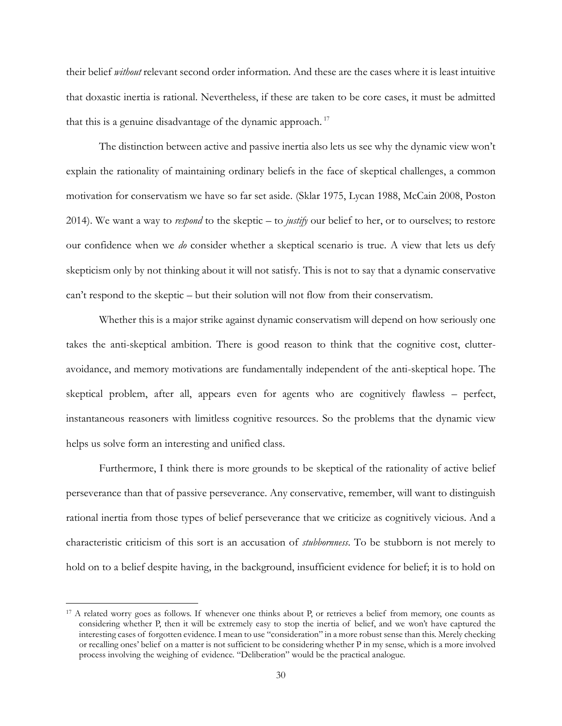their belief *without* relevant second order information. And these are the cases where it is least intuitive that doxastic inertia is rational. Nevertheless, if these are taken to be core cases, it must be admitted that this is a genuine disadvantage of the dynamic approach.<sup>17</sup>

The distinction between active and passive inertia also lets us see why the dynamic view won't explain the rationality of maintaining ordinary beliefs in the face of skeptical challenges, a common motivation for conservatism we have so far set aside. (Sklar 1975, Lycan 1988, McCain 2008, Poston 2014). We want a way to *respond* to the skeptic – to *justify* our belief to her, or to ourselves; to restore our confidence when we *do* consider whether a skeptical scenario is true. A view that lets us defy skepticism only by not thinking about it will not satisfy. This is not to say that a dynamic conservative can't respond to the skeptic – but their solution will not flow from their conservatism.

Whether this is a major strike against dynamic conservatism will depend on how seriously one takes the anti-skeptical ambition. There is good reason to think that the cognitive cost, clutteravoidance, and memory motivations are fundamentally independent of the anti-skeptical hope. The skeptical problem, after all, appears even for agents who are cognitively flawless – perfect, instantaneous reasoners with limitless cognitive resources. So the problems that the dynamic view helps us solve form an interesting and unified class.

Furthermore, I think there is more grounds to be skeptical of the rationality of active belief perseverance than that of passive perseverance. Any conservative, remember, will want to distinguish rational inertia from those types of belief perseverance that we criticize as cognitively vicious. And a characteristic criticism of this sort is an accusation of *stubbornness*. To be stubborn is not merely to hold on to a belief despite having, in the background, insufficient evidence for belief; it is to hold on

 $\overline{a}$ 

<sup>&</sup>lt;sup>17</sup> A related worry goes as follows. If whenever one thinks about P, or retrieves a belief from memory, one counts as considering whether P, then it will be extremely easy to stop the inertia of belief, and we won't have captured the interesting cases of forgotten evidence. I mean to use "consideration" in a more robust sense than this. Merely checking or recalling ones' belief on a matter is not sufficient to be considering whether P in my sense, which is a more involved process involving the weighing of evidence. "Deliberation" would be the practical analogue.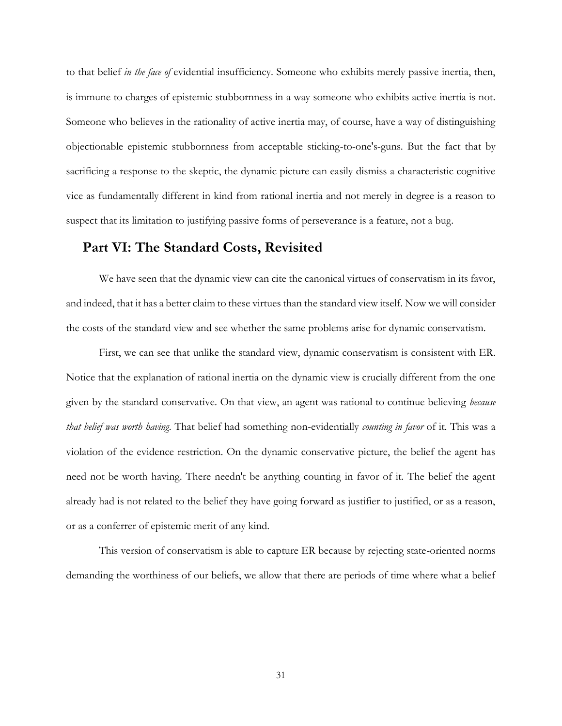to that belief *in the face of* evidential insufficiency. Someone who exhibits merely passive inertia, then, is immune to charges of epistemic stubbornness in a way someone who exhibits active inertia is not. Someone who believes in the rationality of active inertia may, of course, have a way of distinguishing objectionable epistemic stubbornness from acceptable sticking-to-one's-guns. But the fact that by sacrificing a response to the skeptic, the dynamic picture can easily dismiss a characteristic cognitive vice as fundamentally different in kind from rational inertia and not merely in degree is a reason to suspect that its limitation to justifying passive forms of perseverance is a feature, not a bug.

#### **Part VI: The Standard Costs, Revisited**

We have seen that the dynamic view can cite the canonical virtues of conservatism in its favor, and indeed, that it has a better claim to these virtues than the standard view itself. Now we will consider the costs of the standard view and see whether the same problems arise for dynamic conservatism.

First, we can see that unlike the standard view, dynamic conservatism is consistent with ER. Notice that the explanation of rational inertia on the dynamic view is crucially different from the one given by the standard conservative. On that view, an agent was rational to continue believing *because that belief was worth having.* That belief had something non-evidentially *counting in favor* of it. This was a violation of the evidence restriction. On the dynamic conservative picture, the belief the agent has need not be worth having. There needn't be anything counting in favor of it. The belief the agent already had is not related to the belief they have going forward as justifier to justified, or as a reason, or as a conferrer of epistemic merit of any kind.

This version of conservatism is able to capture ER because by rejecting state-oriented norms demanding the worthiness of our beliefs, we allow that there are periods of time where what a belief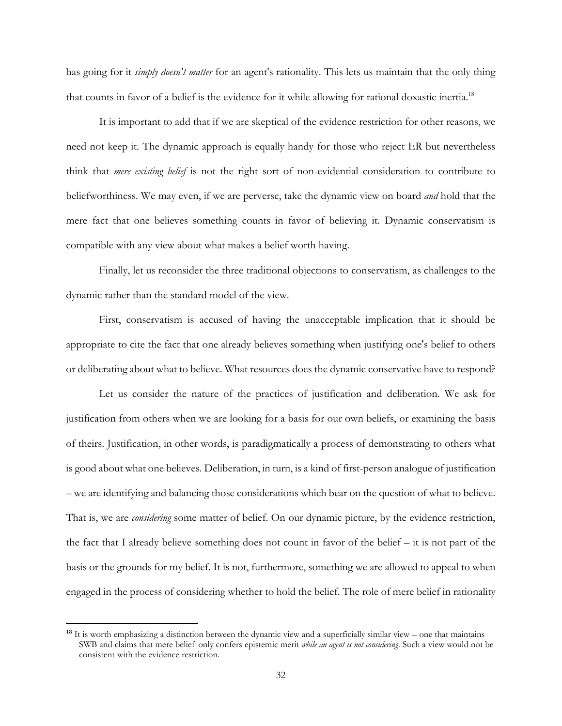has going for it *simply doesn't matter* for an agent's rationality. This lets us maintain that the only thing that counts in favor of a belief is the evidence for it while allowing for rational doxastic inertia.<sup>18</sup>

It is important to add that if we are skeptical of the evidence restriction for other reasons, we need not keep it. The dynamic approach is equally handy for those who reject ER but nevertheless think that *mere existing belief* is not the right sort of non-evidential consideration to contribute to beliefworthiness. We may even, if we are perverse, take the dynamic view on board *and* hold that the mere fact that one believes something counts in favor of believing it. Dynamic conservatism is compatible with any view about what makes a belief worth having.

Finally, let us reconsider the three traditional objections to conservatism, as challenges to the dynamic rather than the standard model of the view.

First, conservatism is accused of having the unacceptable implication that it should be appropriate to cite the fact that one already believes something when justifying one's belief to others or deliberating about what to believe. What resources does the dynamic conservative have to respond?

Let us consider the nature of the practices of justification and deliberation. We ask for justification from others when we are looking for a basis for our own beliefs, or examining the basis of theirs. Justification, in other words, is paradigmatically a process of demonstrating to others what is good about what one believes. Deliberation, in turn, is a kind of first-person analogue of justification – we are identifying and balancing those considerations which bear on the question of what to believe. That is, we are *considering* some matter of belief. On our dynamic picture, by the evidence restriction, the fact that I already believe something does not count in favor of the belief – it is not part of the basis or the grounds for my belief. It is not, furthermore, something we are allowed to appeal to when engaged in the process of considering whether to hold the belief. The role of mere belief in rationality

 $\overline{\phantom{a}}$ 

 $18$  It is worth emphasizing a distinction between the dynamic view and a superficially similar view – one that maintains SWB and claims that mere belief only confers epistemic merit *while an agent is not considering*. Such a view would not be consistent with the evidence restriction.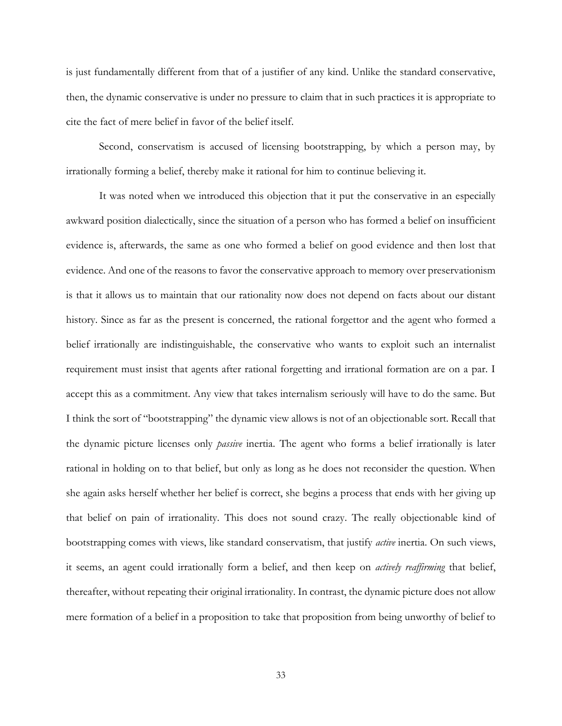is just fundamentally different from that of a justifier of any kind. Unlike the standard conservative, then, the dynamic conservative is under no pressure to claim that in such practices it is appropriate to cite the fact of mere belief in favor of the belief itself.

Second, conservatism is accused of licensing bootstrapping, by which a person may, by irrationally forming a belief, thereby make it rational for him to continue believing it.

It was noted when we introduced this objection that it put the conservative in an especially awkward position dialectically, since the situation of a person who has formed a belief on insufficient evidence is, afterwards, the same as one who formed a belief on good evidence and then lost that evidence. And one of the reasons to favor the conservative approach to memory over preservationism is that it allows us to maintain that our rationality now does not depend on facts about our distant history. Since as far as the present is concerned, the rational forgettor and the agent who formed a belief irrationally are indistinguishable, the conservative who wants to exploit such an internalist requirement must insist that agents after rational forgetting and irrational formation are on a par. I accept this as a commitment. Any view that takes internalism seriously will have to do the same. But I think the sort of "bootstrapping" the dynamic view allows is not of an objectionable sort. Recall that the dynamic picture licenses only *passive* inertia. The agent who forms a belief irrationally is later rational in holding on to that belief, but only as long as he does not reconsider the question. When she again asks herself whether her belief is correct, she begins a process that ends with her giving up that belief on pain of irrationality. This does not sound crazy. The really objectionable kind of bootstrapping comes with views, like standard conservatism, that justify *active* inertia. On such views, it seems, an agent could irrationally form a belief, and then keep on *actively reaffirming* that belief, thereafter, without repeating their original irrationality. In contrast, the dynamic picture does not allow mere formation of a belief in a proposition to take that proposition from being unworthy of belief to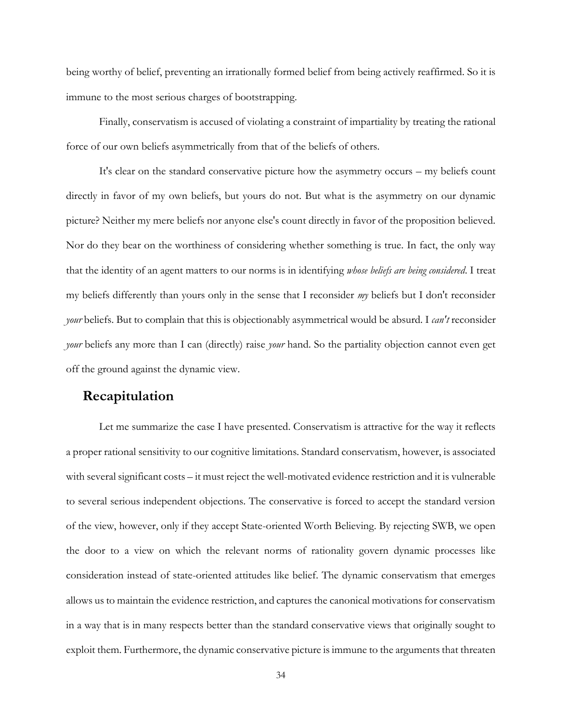being worthy of belief, preventing an irrationally formed belief from being actively reaffirmed. So it is immune to the most serious charges of bootstrapping.

Finally, conservatism is accused of violating a constraint of impartiality by treating the rational force of our own beliefs asymmetrically from that of the beliefs of others.

It's clear on the standard conservative picture how the asymmetry occurs – my beliefs count directly in favor of my own beliefs, but yours do not. But what is the asymmetry on our dynamic picture? Neither my mere beliefs nor anyone else's count directly in favor of the proposition believed. Nor do they bear on the worthiness of considering whether something is true. In fact, the only way that the identity of an agent matters to our norms is in identifying *whose beliefs are being considered*. I treat my beliefs differently than yours only in the sense that I reconsider *my* beliefs but I don't reconsider *your* beliefs. But to complain that this is objectionably asymmetrical would be absurd. I *can't* reconsider *your* beliefs any more than I can (directly) raise *your* hand. So the partiality objection cannot even get off the ground against the dynamic view.

# **Recapitulation**

Let me summarize the case I have presented. Conservatism is attractive for the way it reflects a proper rational sensitivity to our cognitive limitations. Standard conservatism, however, is associated with several significant costs – it must reject the well-motivated evidence restriction and it is vulnerable to several serious independent objections. The conservative is forced to accept the standard version of the view, however, only if they accept State-oriented Worth Believing. By rejecting SWB, we open the door to a view on which the relevant norms of rationality govern dynamic processes like consideration instead of state-oriented attitudes like belief. The dynamic conservatism that emerges allows us to maintain the evidence restriction, and captures the canonical motivations for conservatism in a way that is in many respects better than the standard conservative views that originally sought to exploit them. Furthermore, the dynamic conservative picture is immune to the arguments that threaten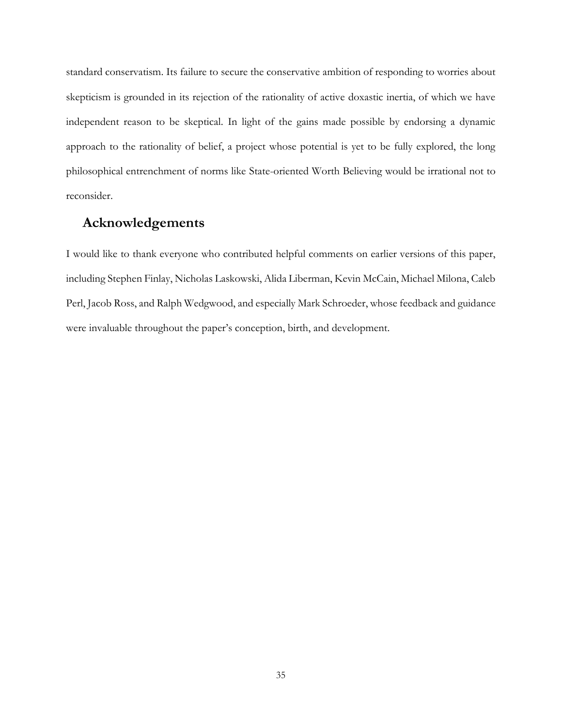standard conservatism. Its failure to secure the conservative ambition of responding to worries about skepticism is grounded in its rejection of the rationality of active doxastic inertia, of which we have independent reason to be skeptical. In light of the gains made possible by endorsing a dynamic approach to the rationality of belief, a project whose potential is yet to be fully explored, the long philosophical entrenchment of norms like State-oriented Worth Believing would be irrational not to reconsider.

### **Acknowledgements**

I would like to thank everyone who contributed helpful comments on earlier versions of this paper, including Stephen Finlay, Nicholas Laskowski, Alida Liberman, Kevin McCain, Michael Milona, Caleb Perl, Jacob Ross, and Ralph Wedgwood, and especially Mark Schroeder, whose feedback and guidance were invaluable throughout the paper's conception, birth, and development.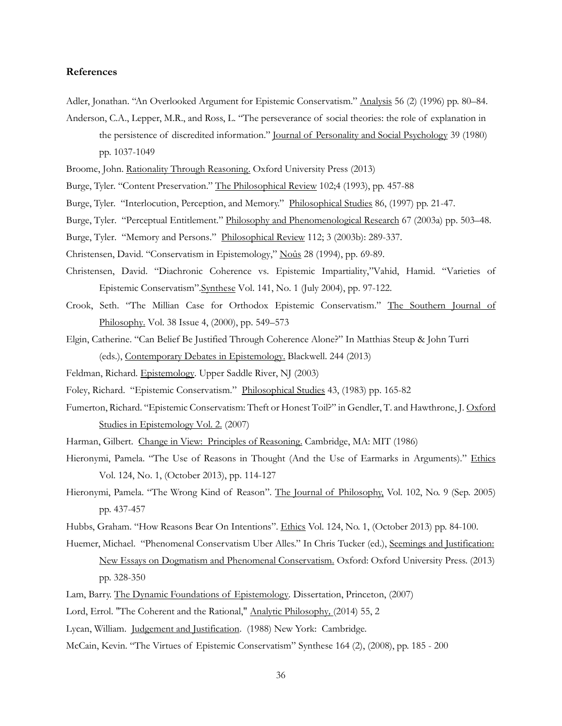#### **References**

- Adler, Jonathan. "An Overlooked Argument for Epistemic Conservatism." Analysis 56 (2) (1996) pp. 80–84. Anderson, C.A., Lepper, M.R., and Ross, L. "The perseverance of social theories: the role of explanation in
	- the persistence of discredited information." Journal of Personality and Social Psychology 39 (1980) pp. 1037-1049
- Broome, John. Rationality Through Reasoning. Oxford University Press (2013)
- Burge, Tyler. "Content Preservation." The Philosophical Review 102;4 (1993), pp. 457-88
- Burge, Tyler. "Interlocution, Perception, and Memory." Philosophical Studies 86, (1997) pp. 21-47.
- Burge, Tyler. "Perceptual Entitlement." Philosophy and Phenomenological Research 67 (2003a) pp. 503–48.
- Burge, Tyler. "Memory and Persons." Philosophical Review 112; 3 (2003b): 289-337.
- Christensen, David. "Conservatism in Epistemology," Noûs 28 (1994), pp. 69-89.
- Christensen, David. "Diachronic Coherence vs. Epistemic Impartiality,"Vahid, Hamid. "Varieties of Epistemic Conservatism".Synthese Vol. 141, No. 1 (July 2004), pp. 97-122.
- Crook, Seth. "The Millian Case for Orthodox Epistemic Conservatism." The Southern Journal of Philosophy. Vol. 38 Issue 4, (2000), pp. 549–573
- Elgin, Catherine. "Can Belief Be Justified Through Coherence Alone?" In Matthias Steup & John Turri (eds.), Contemporary Debates in Epistemology. Blackwell. 244 (2013)
- Feldman, Richard. Epistemology. Upper Saddle River, NJ (2003)
- Foley, Richard. "Epistemic Conservatism." Philosophical Studies 43, (1983) pp. 165-82
- Fumerton, Richard. "Epistemic Conservatism: Theft or Honest Toil?" in Gendler, T. and Hawthrone, J. Oxford Studies in Epistemology Vol. 2. (2007)
- Harman, Gilbert. Change in View: Principles of Reasoning. Cambridge, MA: MIT (1986)
- Hieronymi, Pamela. "The Use of Reasons in Thought (And the Use of Earmarks in Arguments)." Ethics Vol. 124, No. 1, (October 2013), pp. 114-127
- Hieronymi, Pamela. "The Wrong Kind of Reason". The Journal of Philosophy, Vol. 102, No. 9 (Sep. 2005) pp. 437-457
- Hubbs, Graham. "How Reasons Bear On Intentions". Ethics Vol. 124, No. 1, (October 2013) pp. 84-100.
- Huemer, Michael. "Phenomenal Conservatism Uber Alles." In Chris Tucker (ed.), Seemings and Justification: New Essays on Dogmatism and Phenomenal Conservatism. Oxford: Oxford University Press. (2013) pp. 328-350
- Lam, Barry. The Dynamic Foundations of Epistemology*.* Dissertation, Princeton, (2007)
- Lord, Errol. "The Coherent and the Rational," Analytic Philosophy*,* (2014) 55, 2
- Lycan, William. Judgement and Justification. (1988) New York: Cambridge.
- McCain, Kevin. "The Virtues of Epistemic Conservatism" Synthese 164 (2), (2008), pp. 185 200